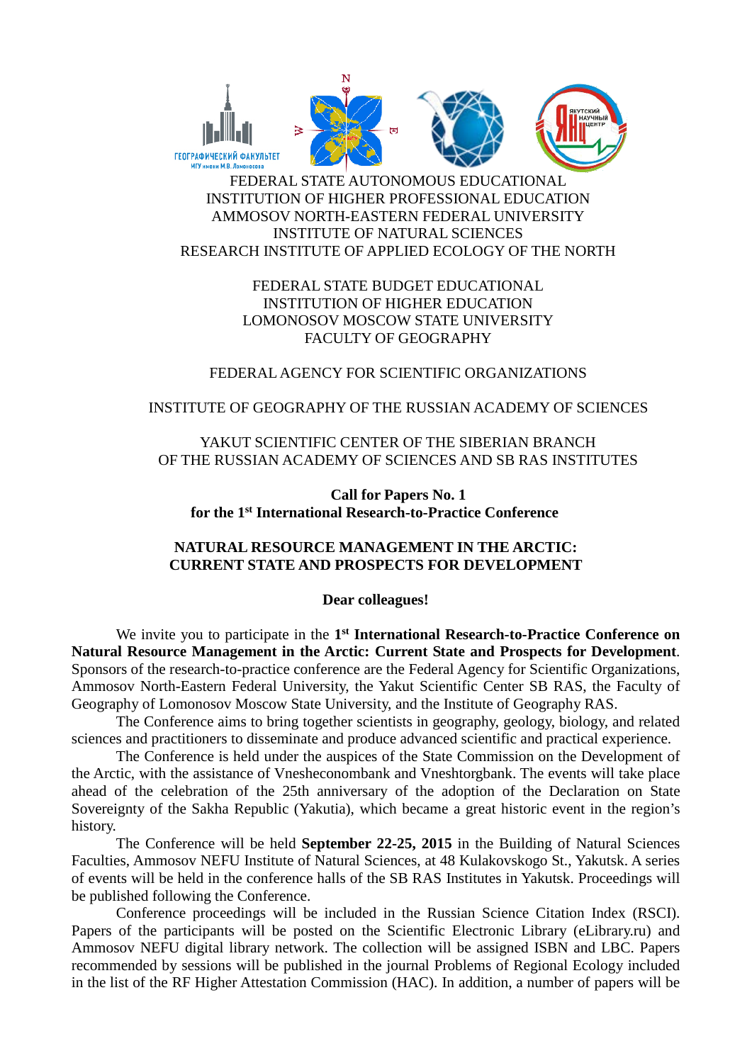

FEDERAL STATE AUTONOMOUS EDUCATIONAL INSTITUTION OF HIGHER PROFESSIONAL EDUCATION AMMOSOV NORTH-EASTERN FEDERAL UNIVERSITY INSTITUTE OF NATURAL SCIENCES RESEARCH INSTITUTE OF APPLIED ECOLOGY OF THE NORTH

# FEDERAL STATE BUDGET EDUCATIONAL INSTITUTION OF HIGHER EDUCATION LOMONOSOV MOSCOW STATE UNIVERSITY FACULTY OF GEOGRAPHY

## FEDERAL AGENCY FOR SCIENTIFIC ORGANIZATIONS

## INSTITUTE OF GEOGRAPHY OF THE RUSSIAN ACADEMY OF SCIENCES

## YAKUT SCIENTIFIC CENTER OF THE SIBERIAN BRANCH OF THE RUSSIAN ACADEMY OF SCIENCES AND SB RAS INSTITUTES

## **Call for Papers No. 1 for the 1st International Research-to-Practice Conference**

## **NATURAL RESOURCE MANAGEMENT IN THE ARCTIC: CURRENT STATE AND PROSPECTS FOR DEVELOPMENT**

**Dear colleagues!**

We invite you to participate in the 1<sup>st</sup> **International Research-to-Practice Conference on Natural Resource Management in the Arctic: Current State and Prospects for Development**. Sponsors of the research-to-practice conference are the Federal Agency for Scientific Organizations, Ammosov North-Eastern Federal University, the Yakut Scientific Center SB RAS, the Faculty of Geography of Lomonosov Moscow State University, and the Institute of Geography RAS.

The Conference aims to bring together scientists in geography, geology, biology, and related sciences and practitioners to disseminate and produce advanced scientific and practical experience.

The Conference is held under the auspices of the State Commission on the Development of the Arctic, with the assistance of Vnesheconombank and Vneshtorgbank. The events will take place ahead of the celebration of the 25th anniversary of the adoption of the Declaration on State Sovereignty of the Sakha Republic (Yakutia), which became a great historic event in the region's history.

The Conference will be held **September 22-25, 2015** in the Building of Natural Sciences Faculties, Ammosov NEFU Institute of Natural Sciences, at 48 Kulakovskogo St., Yakutsk. A series of events will be held in the conference halls of the SB RAS Institutes in Yakutsk. Proceedings will be published following the Conference.

Conference proceedings will be included in the Russian Science Citation Index (RSCI). Papers of the participants will be posted on the Scientific Electronic Library (eLibrary.ru) and Ammosov NEFU digital library network. The collection will be assigned ISBN and LBC. Papers recommended by sessions will be published in the journal Problems of Regional Ecology included in the list of the RF Higher Attestation Commission (HAC). In addition, a number of papers will be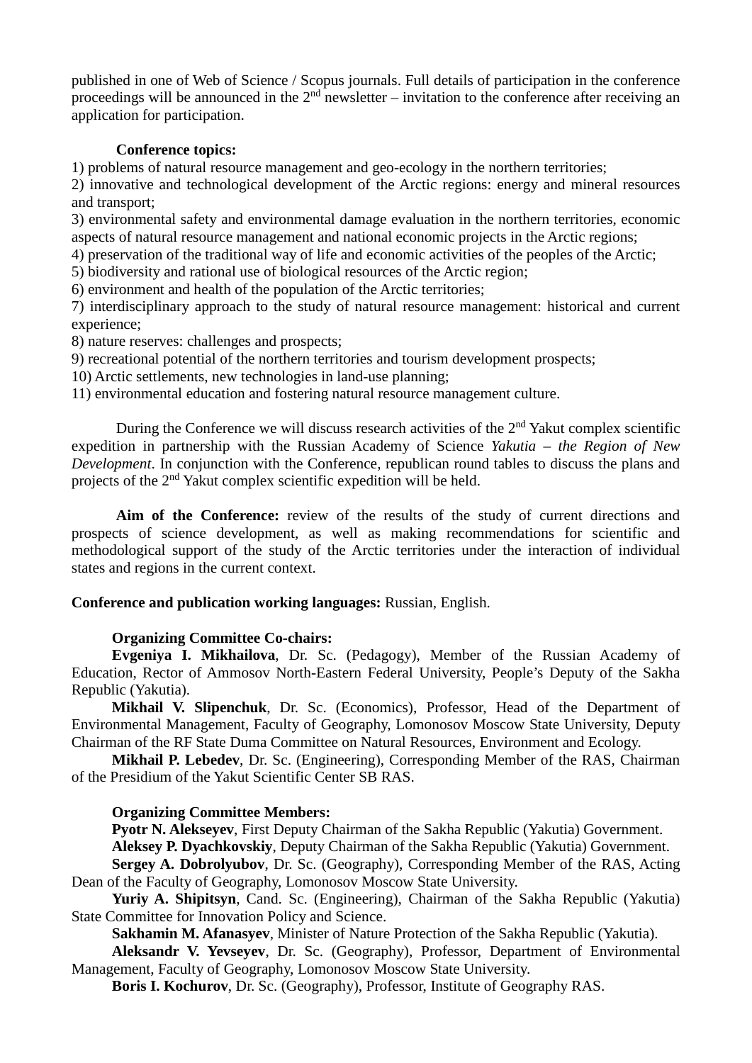published in one of Web of Science / Scopus journals. Full details of participation in the conference proceedings will be announced in the  $2<sup>nd</sup>$  newsletter – invitation to the conference after receiving an application for participation.

## **Conference topics:**

1) problems of natural resource management and geo-ecology in the northern territories;

2) innovative and technological development of the Arctic regions: energy and mineral resources and transport;

3) environmental safety and environmental damage evaluation in the northern territories, economic aspects of natural resource management and national economic projects in the Arctic regions;

4) preservation of the traditional way of life and economic activities of the peoples of the Arctic;

5) biodiversity and rational use of biological resources of the Arctic region;

6) environment and health of the population of the Arctic territories;

7) interdisciplinary approach to the study of natural resource management: historical and current experience;

8) nature reserves: challenges and prospects;

9) recreational potential of the northern territories and tourism development prospects;

10) Arctic settlements, new technologies in land-use planning;

11) environmental education and fostering natural resource management culture.

During the Conference we will discuss research activities of the  $2<sup>nd</sup>$  Yakut complex scientific expedition in partnership with the Russian Academy of Science *Yakutia – the Region of New Development*. In conjunction with the Conference, republican round tables to discuss the plans and projects of the 2nd Yakut complex scientific expedition will be held.

**Aim of the Conference:** review of the results of the study of current directions and prospects of science development, as well as making recommendations for scientific and methodological support of the study of the Arctic territories under the interaction of individual states and regions in the current context.

## **Conference and publication working languages:** Russian, English.

## **Organizing Committee Co-chairs:**

**Evgeniya I. Mikhailova**, Dr. Sc. (Pedagogy), Member of the Russian Academy of Education, Rector of Ammosov North-Eastern Federal University, People's Deputy of the Sakha Republic (Yakutia).

**Mikhail V. Slipenchuk**, Dr. Sc. (Economics), Professor, Head of the Department of Environmental Management, Faculty of Geography, Lomonosov Moscow State University, Deputy Chairman of the RF State Duma Committee on Natural Resources, Environment and Ecology.

**Mikhail P. Lebedev**, Dr. Sc. (Engineering), Corresponding Member of the RAS, Chairman of the Presidium of the Yakut Scientific Center SB RAS.

## **Organizing Committee Members:**

**Pyotr N. Alekseyev**, First Deputy Chairman of the Sakha Republic (Yakutia) Government.

**Aleksey P. Dyachkovskiy**, Deputy Chairman of the Sakha Republic (Yakutia) Government.

**Sergey A. Dobrolyubov**, Dr. Sc. (Geography), Corresponding Member of the RAS, Acting Dean of the Faculty of Geography, Lomonosov Moscow State University.

**Yuriy A. Shipitsyn**, Cand. Sc. (Engineering), Chairman of the Sakha Republic (Yakutia) State Committee for Innovation Policy and Science.

**Sakhamin M. Afanasyev**, Minister of Nature Protection of the Sakha Republic (Yakutia).

**Aleksandr V. Yevseyev**, Dr. Sc. (Geography), Professor, Department of Environmental Management, Faculty of Geography, Lomonosov Moscow State University.

**Boris I. Kochurov**, Dr. Sc. (Geography), Professor, Institute of Geography RAS.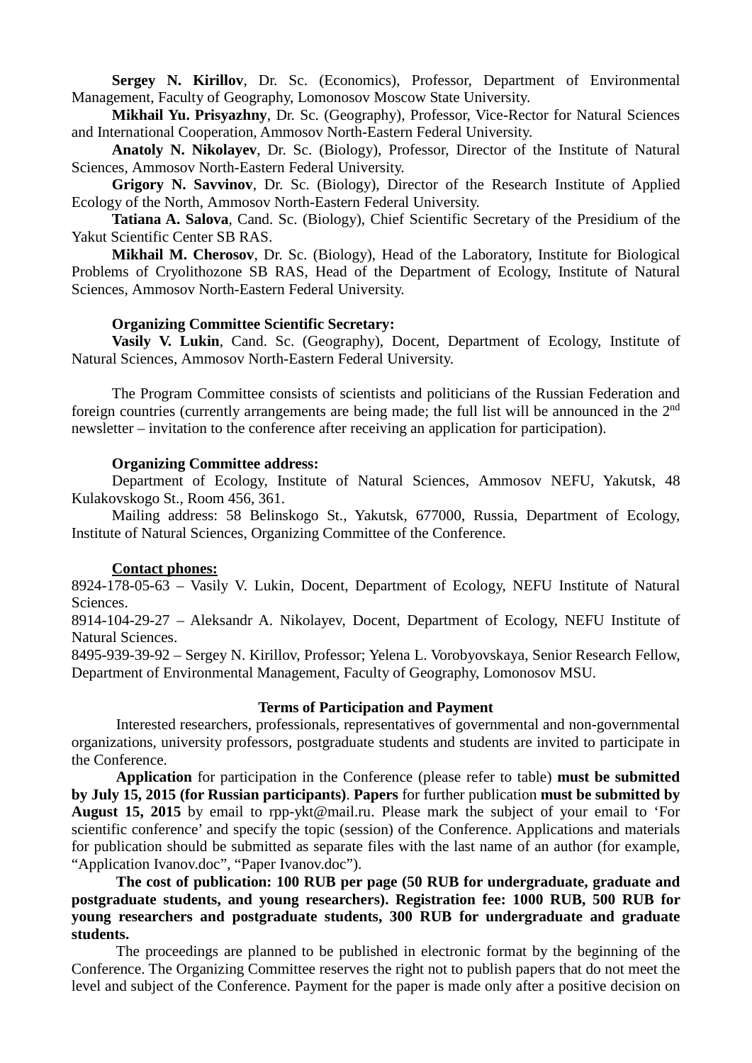**Sergey N. Kirillov**, Dr. Sc. (Economics), Professor, Department of Environmental Management, Faculty of Geography, Lomonosov Moscow State University.

**Mikhail Yu. Prisyazhny**, Dr. Sc. (Geography), Professor, Vice-Rector for Natural Sciences and International Cooperation, Ammosov North-Eastern Federal University.

**Anatoly N. Nikolayev**, Dr. Sc. (Biology), Professor, Director of the Institute of Natural Sciences, Ammosov North-Eastern Federal University.

**Grigory N. Savvinov**, Dr. Sc. (Biology), Director of the Research Institute of Applied Ecology of the North, Ammosov North-Eastern Federal University.

**Tatiana A. Salova**, Cand. Sc. (Biology), Chief Scientific Secretary of the Presidium of the Yakut Scientific Center SB RAS.

**Mikhail M. Cherosov**, Dr. Sc. (Biology), Head of the Laboratory, Institute for Biological Problems of Cryolithozone SB RAS, Head of the Department of Ecology, Institute of Natural Sciences, Ammosov North-Eastern Federal University.

### **Organizing Committee Scientific Secretary:**

**Vasily V. Lukin**, Cand. Sc. (Geography), Docent, Department of Ecology, Institute of Natural Sciences, Ammosov North-Eastern Federal University.

The Program Committee consists of scientists and politicians of the Russian Federation and foreign countries (currently arrangements are being made; the full list will be announced in the 2<sup>nd</sup> newsletter – invitation to the conference after receiving an application for participation).

#### **Organizing Committee address:**

Department of Ecology, Institute of Natural Sciences, Ammosov NEFU, Yakutsk, 48 Kulakovskogo St., Room 456, 361.

Mailing address: 58 Belinskogo St., Yakutsk, 677000, Russia, Department of Ecology, Institute of Natural Sciences, Organizing Committee of the Conference.

#### **Contact phones:**

8924-178-05-63 – Vasily V. Lukin, Docent, Department of Ecology, NEFU Institute of Natural Sciences.

8914-104-29-27 – Aleksandr A. Nikolayev, Docent, Department of Ecology, NEFU Institute of Natural Sciences.

8495-939-39-92 – Sergey N. Kirillov, Professor; Yelena L. Vorobyovskaya, Senior Research Fellow, Department of Environmental Management, Faculty of Geography, Lomonosov MSU.

#### **Terms of Participation and Payment**

Interested researchers, professionals, representatives of governmental and non-governmental organizations, university professors, postgraduate students and students are invited to participate in the Conference.

**Application** for participation in the Conference (please refer to table) **must be submitted by July 15, 2015 (for Russian participants)**. **Papers** for further publication **must be submitted by August 15, 2015** by email to rpp-ykt@mail.ru. Please mark the subject of your email to 'For scientific conference' and specify the topic (session) of the Conference. Applications and materials for publication should be submitted as separate files with the last name of an author (for example, "Application Ivanov.doc", "Paper Ivanov.doc").

**The cost of publication: 100 RUB per page (50 RUB for undergraduate, graduate and postgraduate students, and young researchers). Registration fee: 1000 RUB, 500 RUB for young researchers and postgraduate students, 300 RUB for undergraduate and graduate students.**

The proceedings are planned to be published in electronic format by the beginning of the Conference. The Organizing Committee reserves the right not to publish papers that do not meet the level and subject of the Conference. Payment for the paper is made only after a positive decision on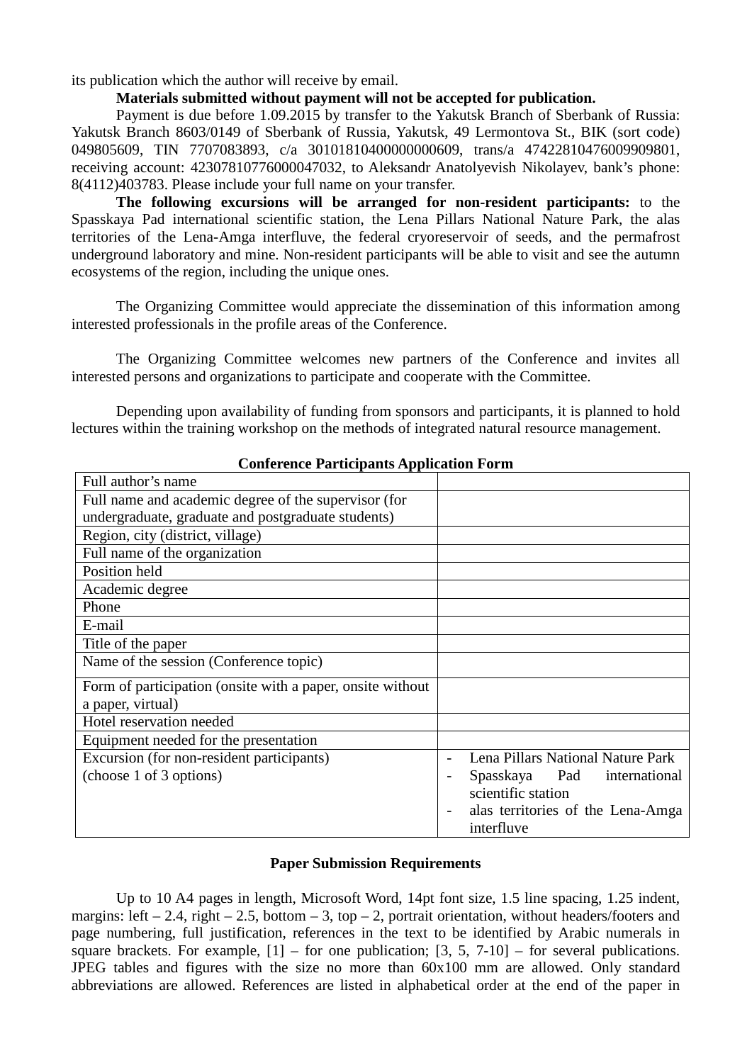its publication which the author will receive by email.

## **Materials submitted without payment will not be accepted for publication.**

Payment is due before 1.09.2015 by transfer to the Yakutsk Branch of Sberbank of Russia: Yakutsk Branch 8603/0149 of Sberbank of Russia, Yakutsk, 49 Lermontova St., BIK (sort code) 049805609, TIN 7707083893, c/a 30101810400000000609, trans/a 47422810476009909801, receiving account: 42307810776000047032, to Aleksandr Anatolyevish Nikolayev, bank's phone: 8(4112)403783. Please include your full name on your transfer.

**The following excursions will be arranged for non-resident participants:** to the Spasskaya Pad international scientific station, the Lena Pillars National Nature Park, the alas territories of the Lena-Amga interfluve, the federal cryoreservoir of seeds, and the permafrost underground laboratory and mine. Non-resident participants will be able to visit and see the autumn ecosystems of the region, including the unique ones.

The Organizing Committee would appreciate the dissemination of this information among interested professionals in the profile areas of the Conference.

The Organizing Committee welcomes new partners of the Conference and invites all interested persons and organizations to participate and cooperate with the Committee.

Depending upon availability of funding from sponsors and participants, it is planned to hold lectures within the training workshop on the methods of integrated natural resource management.

| Full author's name                                         |                                               |
|------------------------------------------------------------|-----------------------------------------------|
| Full name and academic degree of the supervisor (for       |                                               |
| undergraduate, graduate and postgraduate students)         |                                               |
| Region, city (district, village)                           |                                               |
| Full name of the organization                              |                                               |
| Position held                                              |                                               |
| Academic degree                                            |                                               |
| Phone                                                      |                                               |
| E-mail                                                     |                                               |
| Title of the paper                                         |                                               |
| Name of the session (Conference topic)                     |                                               |
| Form of participation (onsite with a paper, onsite without |                                               |
| a paper, virtual)                                          |                                               |
| Hotel reservation needed                                   |                                               |
| Equipment needed for the presentation                      |                                               |
| Excursion (for non-resident participants)                  | Lena Pillars National Nature Park             |
| (choose 1 of 3 options)                                    | Spasskaya Pad international<br>$\overline{a}$ |
|                                                            | scientific station                            |
|                                                            | alas territories of the Lena-Amga             |
|                                                            | interfluve                                    |

## **Conference Participants Application Form**

## **Paper Submission Requirements**

Up to 10 A4 pages in length, Microsoft Word, 14pt font size, 1.5 line spacing, 1.25 indent, margins: left – 2.4, right – 2.5, bottom – 3, top – 2, portrait orientation, without headers/footers and page numbering, full justification, references in the text to be identified by Arabic numerals in square brackets. For example,  $[1]$  – for one publication;  $[3, 5, 7-10]$  – for several publications. JPEG tables and figures with the size no more than 60x100 mm are allowed. Only standard abbreviations are allowed. References are listed in alphabetical order at the end of the paper in